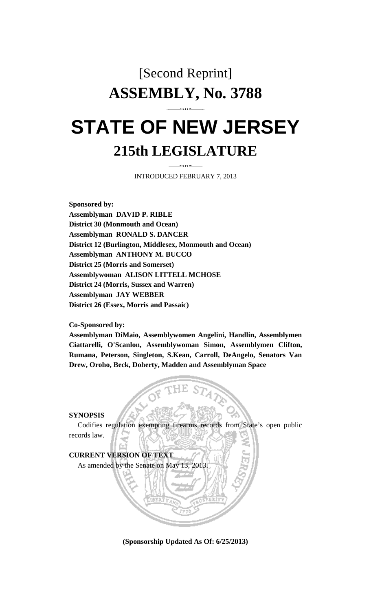## [Second Reprint] **ASSEMBLY, No. 3788**

# **STATE OF NEW JERSEY 215th LEGISLATURE**

INTRODUCED FEBRUARY 7, 2013

**Sponsored by: Assemblyman DAVID P. RIBLE District 30 (Monmouth and Ocean) Assemblyman RONALD S. DANCER District 12 (Burlington, Middlesex, Monmouth and Ocean) Assemblyman ANTHONY M. BUCCO District 25 (Morris and Somerset) Assemblywoman ALISON LITTELL MCHOSE District 24 (Morris, Sussex and Warren) Assemblyman JAY WEBBER District 26 (Essex, Morris and Passaic)** 

#### **Co-Sponsored by:**

**Assemblyman DiMaio, Assemblywomen Angelini, Handlin, Assemblymen Ciattarelli, O'Scanlon, Assemblywoman Simon, Assemblymen Clifton, Rumana, Peterson, Singleton, S.Kean, Carroll, DeAngelo, Senators Van Drew, Oroho, Beck, Doherty, Madden and Assemblyman Space** 

#### **SYNOPSIS**

 Codifies regulation exempting firearms records from State's open public records law.



**(Sponsorship Updated As Of: 6/25/2013)**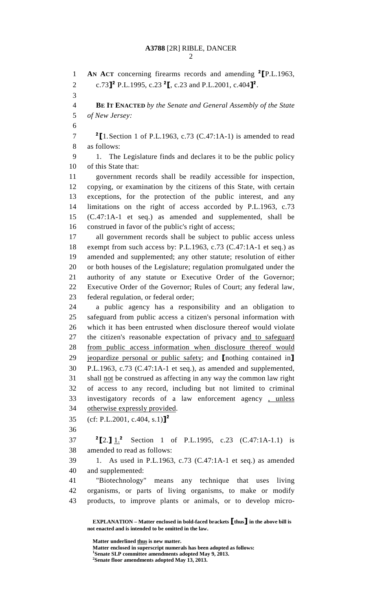### **A3788** [2R] RIBLE, DANCER

2

1 **AN ACT** concerning firearms records and amending <sup>2</sup> [P.L.1963, 2 c.73<sup>2</sup> P.L.1995, c.23<sup>2</sup>, c.23 and P.L.2001, c.404<sup>2</sup>. 3 4 **BE IT ENACTED** *by the Senate and General Assembly of the State*  5 *of New Jersey:* 6  $7 \t2$  [1. Section 1 of P.L.1963, c.73 (C.47:1A-1) is amended to read 8 as follows: 9 1. The Legislature finds and declares it to be the public policy 10 of this State that: 11 government records shall be readily accessible for inspection, 12 copying, or examination by the citizens of this State, with certain 13 exceptions, for the protection of the public interest, and any 14 limitations on the right of access accorded by P.L.1963, c.73 15 (C.47:1A-1 et seq.) as amended and supplemented, shall be 16 construed in favor of the public's right of access; 17 all government records shall be subject to public access unless 18 exempt from such access by: P.L.1963, c.73 (C.47:1A-1 et seq.) as 19 amended and supplemented; any other statute; resolution of either 20 or both houses of the Legislature; regulation promulgated under the 21 authority of any statute or Executive Order of the Governor; 22 Executive Order of the Governor; Rules of Court; any federal law, 23 federal regulation, or federal order; 24 a public agency has a responsibility and an obligation to 25 safeguard from public access a citizen's personal information with 26 which it has been entrusted when disclosure thereof would violate 27 the citizen's reasonable expectation of privacy and to safeguard 28 from public access information when disclosure thereof would 29 jeopardize personal or public safety; and [nothing contained in] 30 P.L.1963, c.73 (C.47:1A-1 et seq.), as amended and supplemented, 31 shall not be construed as affecting in any way the common law right 32 of access to any record, including but not limited to criminal 33 investigatory records of a law enforcement agency , unless 34 otherwise expressly provided. 35 (cf: P.L.2001, c.404, s.1)]<sup>2</sup> 36 37  ${}^{2}$ [2.]  $1.^{2}$  Section 1 of P.L.1995, c.23 (C.47:1A-1.1) is 38 amended to read as follows: 39 1. As used in P.L.1963, c.73 (C.47:1A-1 et seq.) as amended 40 and supplemented: 41 "Biotechnology" means any technique that uses living 42 organisms, or parts of living organisms, to make or modify 43 products, to improve plants or animals, or to develop micro-

 **EXPLANATION – Matter enclosed in bold-faced brackets** [**thus**] **in the above bill is not enacted and is intended to be omitted in the law.** 

**Matter underlined thus is new matter.** 

 **Matter enclosed in superscript numerals has been adopted as follows: 1**

**Senate SLP committee amendments adopted May 9, 2013.** 

**2 Senate floor amendments adopted May 13, 2013.**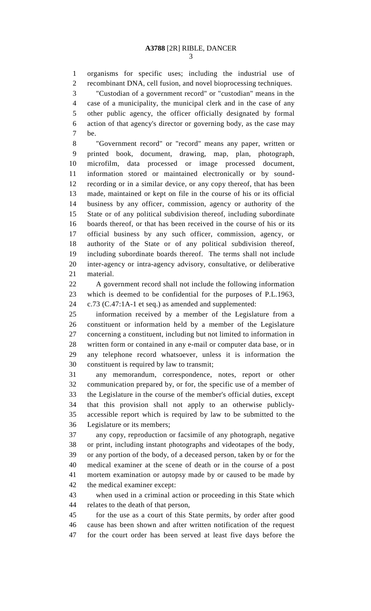1 organisms for specific uses; including the industrial use of 2 recombinant DNA, cell fusion, and novel bioprocessing techniques.

3 "Custodian of a government record" or "custodian" means in the 4 case of a municipality, the municipal clerk and in the case of any 5 other public agency, the officer officially designated by formal 6 action of that agency's director or governing body, as the case may 7 be.

8 "Government record" or "record" means any paper, written or 9 printed book, document, drawing, map, plan, photograph, 10 microfilm, data processed or image processed document, 11 information stored or maintained electronically or by sound-12 recording or in a similar device, or any copy thereof, that has been 13 made, maintained or kept on file in the course of his or its official 14 business by any officer, commission, agency or authority of the 15 State or of any political subdivision thereof, including subordinate 16 boards thereof, or that has been received in the course of his or its 17 official business by any such officer, commission, agency, or 18 authority of the State or of any political subdivision thereof, 19 including subordinate boards thereof. The terms shall not include 20 inter-agency or intra-agency advisory, consultative, or deliberative 21 material.

22 A government record shall not include the following information 23 which is deemed to be confidential for the purposes of P.L.1963, 24 c.73 (C.47:1A-1 et seq.) as amended and supplemented:

25 information received by a member of the Legislature from a 26 constituent or information held by a member of the Legislature 27 concerning a constituent, including but not limited to information in 28 written form or contained in any e-mail or computer data base, or in 29 any telephone record whatsoever, unless it is information the 30 constituent is required by law to transmit;

31 any memorandum, correspondence, notes, report or other 32 communication prepared by, or for, the specific use of a member of 33 the Legislature in the course of the member's official duties, except 34 that this provision shall not apply to an otherwise publicly-35 accessible report which is required by law to be submitted to the 36 Legislature or its members;

37 any copy, reproduction or facsimile of any photograph, negative 38 or print, including instant photographs and videotapes of the body, 39 or any portion of the body, of a deceased person, taken by or for the 40 medical examiner at the scene of death or in the course of a post 41 mortem examination or autopsy made by or caused to be made by 42 the medical examiner except:

43 when used in a criminal action or proceeding in this State which 44 relates to the death of that person,

45 for the use as a court of this State permits, by order after good 46 cause has been shown and after written notification of the request 47 for the court order has been served at least five days before the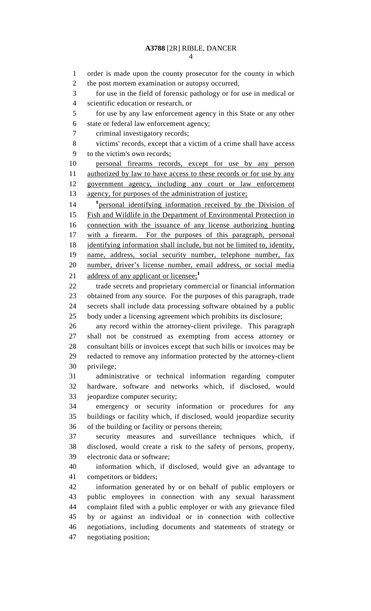4

1 order is made upon the county prosecutor for the county in which 2 the post mortem examination or autopsy occurred, 3 for use in the field of forensic pathology or for use in medical or 4 scientific education or research, or 5 for use by any law enforcement agency in this State or any other 6 state or federal law enforcement agency; 7 criminal investigatory records; 8 victims' records, except that a victim of a crime shall have access 9 to the victim's own records; 10 personal firearms records, except for use by any person 11 authorized by law to have access to these records or for use by any 12 government agency, including any court or law enforcement 13 agency, for purposes of the administration of justice; 14 <sup>1</sup> <u>personal identifying information received by the Division of</u> 15 Fish and Wildlife in the Department of Environmental Protection in 16 connection with the issuance of any license authorizing hunting 17 with a firearm. For the purposes of this paragraph, personal 18 identifying information shall include, but not be limited to, identity, 19 name, address, social security number, telephone number, fax 20 number, driver's license number, email address, or social media 21 address of any applicant or licensee;<sup>1</sup> 22 trade secrets and proprietary commercial or financial information 23 obtained from any source. For the purposes of this paragraph, trade 24 secrets shall include data processing software obtained by a public 25 body under a licensing agreement which prohibits its disclosure; 26 any record within the attorney-client privilege. This paragraph 27 shall not be construed as exempting from access attorney or 28 consultant bills or invoices except that such bills or invoices may be 29 redacted to remove any information protected by the attorney-client 30 privilege; 31 administrative or technical information regarding computer 32 hardware, software and networks which, if disclosed, would 33 jeopardize computer security; 34 emergency or security information or procedures for any 35 buildings or facility which, if disclosed, would jeopardize security 36 of the building or facility or persons therein; 37 security measures and surveillance techniques which, if 38 disclosed, would create a risk to the safety of persons, property, 39 electronic data or software; 40 information which, if disclosed, would give an advantage to 41 competitors or bidders; 42 information generated by or on behalf of public employers or 43 public employees in connection with any sexual harassment 44 complaint filed with a public employer or with any grievance filed 45 by or against an individual or in connection with collective 46 negotiations, including documents and statements of strategy or 47 negotiating position;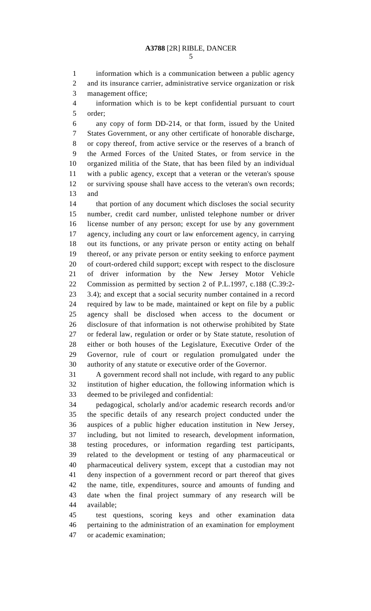1 information which is a communication between a public agency 2 and its insurance carrier, administrative service organization or risk 3 management office;

4 information which is to be kept confidential pursuant to court 5 order;

6 any copy of form DD-214, or that form, issued by the United 7 States Government, or any other certificate of honorable discharge, 8 or copy thereof, from active service or the reserves of a branch of 9 the Armed Forces of the United States, or from service in the 10 organized militia of the State, that has been filed by an individual 11 with a public agency, except that a veteran or the veteran's spouse 12 or surviving spouse shall have access to the veteran's own records; 13 and

14 that portion of any document which discloses the social security 15 number, credit card number, unlisted telephone number or driver 16 license number of any person; except for use by any government 17 agency, including any court or law enforcement agency, in carrying 18 out its functions, or any private person or entity acting on behalf 19 thereof, or any private person or entity seeking to enforce payment 20 of court-ordered child support; except with respect to the disclosure 21 of driver information by the New Jersey Motor Vehicle 22 Commission as permitted by section 2 of P.L.1997, c.188 (C.39:2- 23 3.4); and except that a social security number contained in a record 24 required by law to be made, maintained or kept on file by a public 25 agency shall be disclosed when access to the document or 26 disclosure of that information is not otherwise prohibited by State 27 or federal law, regulation or order or by State statute, resolution of 28 either or both houses of the Legislature, Executive Order of the 29 Governor, rule of court or regulation promulgated under the 30 authority of any statute or executive order of the Governor.

31 A government record shall not include, with regard to any public 32 institution of higher education, the following information which is 33 deemed to be privileged and confidential:

34 pedagogical, scholarly and/or academic research records and/or 35 the specific details of any research project conducted under the 36 auspices of a public higher education institution in New Jersey, 37 including, but not limited to research, development information, 38 testing procedures, or information regarding test participants, 39 related to the development or testing of any pharmaceutical or 40 pharmaceutical delivery system, except that a custodian may not 41 deny inspection of a government record or part thereof that gives 42 the name, title, expenditures, source and amounts of funding and 43 date when the final project summary of any research will be 44 available;

45 test questions, scoring keys and other examination data 46 pertaining to the administration of an examination for employment 47 or academic examination;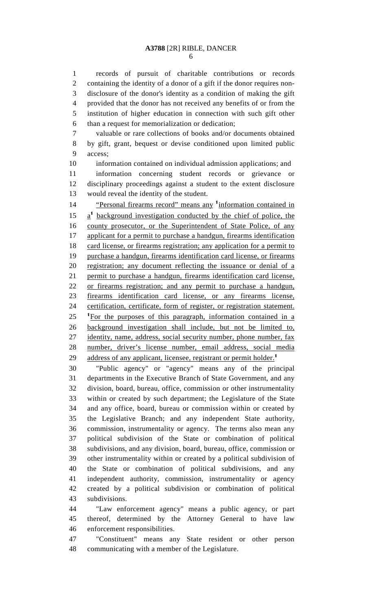6

1 records of pursuit of charitable contributions or records 2 containing the identity of a donor of a gift if the donor requires non-3 disclosure of the donor's identity as a condition of making the gift 4 provided that the donor has not received any benefits of or from the 5 institution of higher education in connection with such gift other 6 than a request for memorialization or dedication;

7 valuable or rare collections of books and/or documents obtained 8 by gift, grant, bequest or devise conditioned upon limited public 9 access;

10 information contained on individual admission applications; and 11 information concerning student records or grievance or 12 disciplinary proceedings against a student to the extent disclosure 13 would reveal the identity of the student.

<sup>1</sup>4 **Personal firearms record**" means any <sup>1</sup> information contained in  $15 \frac{a^1}{2}$  background investigation conducted by the chief of police, the 16 county prosecutor, or the Superintendent of State Police, of any 17 applicant for a permit to purchase a handgun, firearms identification 18 card license, or firearms registration; any application for a permit to 19 purchase a handgun, firearms identification card license, or firearms 20 registration; any document reflecting the issuance or denial of a 21 permit to purchase a handgun, firearms identification card license, 22 or firearms registration; and any permit to purchase a handgun, 23 firearms identification card license, or any firearms license, 24 certification, certificate, form of register, or registration statement.  $125$  <sup>1</sup>For the purposes of this paragraph, information contained in a 26 background investigation shall include, but not be limited to, 27 identity, name, address, social security number, phone number, fax 28 number, driver's license number, email address, social media 29 address of any applicant, licensee, registrant or permit holder.<sup>1</sup>

30 "Public agency" or "agency" means any of the principal 31 departments in the Executive Branch of State Government, and any 32 division, board, bureau, office, commission or other instrumentality 33 within or created by such department; the Legislature of the State 34 and any office, board, bureau or commission within or created by 35 the Legislative Branch; and any independent State authority, 36 commission, instrumentality or agency. The terms also mean any 37 political subdivision of the State or combination of political 38 subdivisions, and any division, board, bureau, office, commission or 39 other instrumentality within or created by a political subdivision of 40 the State or combination of political subdivisions, and any 41 independent authority, commission, instrumentality or agency 42 created by a political subdivision or combination of political 43 subdivisions.

44 "Law enforcement agency" means a public agency, or part 45 thereof, determined by the Attorney General to have law 46 enforcement responsibilities.

47 "Constituent" means any State resident or other person 48 communicating with a member of the Legislature.